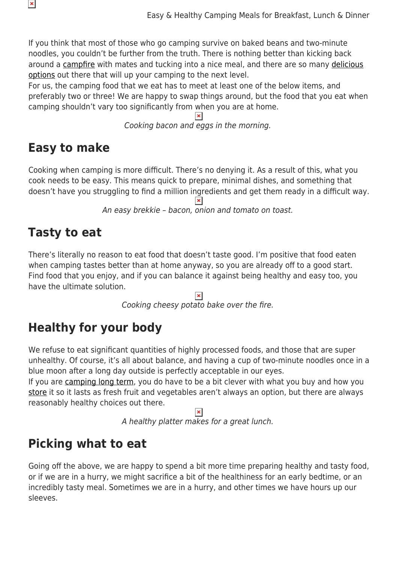If you think that most of those who go camping survive on baked beans and two-minute noodles, you couldn't be further from the truth. There is nothing better than kicking back around a [campfire](https://www.snowys.com.au/blog/campfire-cooking-tips-for-beginners/) with mates and tucking into a nice meal, and there are so many [delicious](https://www.snowys.com.au/campfire-cooking-equipment) [options](https://www.snowys.com.au/campfire-cooking-equipment) out there that will up your camping to the next level.

For us, the camping food that we eat has to meet at least one of the below items, and preferably two or three! We are happy to swap things around, but the food that you eat when camping shouldn't vary too significantly from when you are at home.

Cooking bacon and eggs in the morning.

## **Easy to make**

 $\pmb{\times}$ 

Cooking when camping is more difficult. There's no denying it. As a result of this, what you cook needs to be easy. This means quick to prepare, minimal dishes, and something that doesn't have you struggling to find a million ingredients and get them ready in a difficult way.

An easy brekkie – bacon, onion and tomato on toast.

## **Tasty to eat**

There's literally no reason to eat food that doesn't taste good. I'm positive that food eaten when camping tastes better than at home anyway, so you are already off to a good start. Find food that you enjoy, and if you can balance it against being healthy and easy too, you have the ultimate solution.

Cooking cheesy potato bake over the fire.

# **Healthy for your body**

We refuse to eat significant quantities of highly processed foods, and those that are super unhealthy. Of course, it's all about balance, and having a cup of two-minute noodles once in a blue moon after a long day outside is perfectly acceptable in our eyes.

If you are [camping long term,](https://www.snowys.com.au/blog/shop-pack-prepare-food-touring/) you do have to be a bit clever with what you buy and how you [store](https://www.snowys.com.au/camping-food-storage) it so it lasts as fresh fruit and vegetables aren't always an option, but there are always reasonably healthy choices out there.

 $\pmb{\times}$ 

A healthy platter makes for a great lunch.

## **Picking what to eat**

Going off the above, we are happy to spend a bit more time preparing healthy and tasty food, or if we are in a hurry, we might sacrifice a bit of the healthiness for an early bedtime, or an incredibly tasty meal. Sometimes we are in a hurry, and other times we have hours up our sleeves.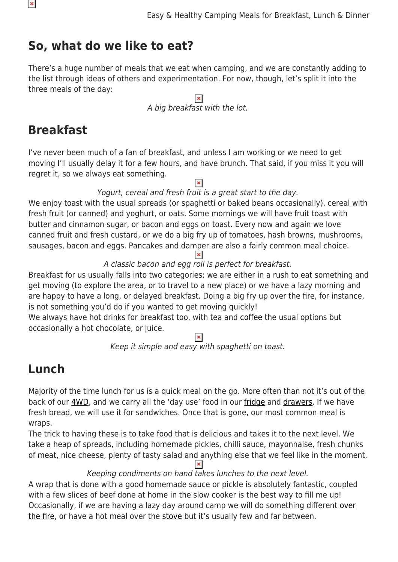## **So, what do we like to eat?**

There's a huge number of meals that we eat when camping, and we are constantly adding to the list through ideas of others and experimentation. For now, though, let's split it into the three meals of the day:

> $\pmb{\times}$ A big breakfast with the lot.

## **Breakfast**

I've never been much of a fan of breakfast, and unless I am working or we need to get moving I'll usually delay it for a few hours, and have brunch. That said, if you miss it you will regret it, so we always eat something.

 $\pmb{\times}$ 

### Yogurt, cereal and fresh fruit is a great start to the day.

We enjoy toast with the usual spreads (or spaghetti or baked beans occasionally), cereal with fresh fruit (or canned) and yoghurt, or oats. Some mornings we will have fruit toast with butter and cinnamon sugar, or bacon and eggs on toast. Every now and again we love canned fruit and fresh custard, or we do a big fry up of tomatoes, hash browns, mushrooms, sausages, bacon and eggs. Pancakes and damper are also a fairly common meal choice.

#### $\pmb{\times}$ A classic bacon and egg roll is perfect for breakfast.

Breakfast for us usually falls into two categories; we are either in a rush to eat something and get moving (to explore the area, or to travel to a new place) or we have a lazy morning and are happy to have a long, or delayed breakfast. Doing a big fry up over the fire, for instance, is not something you'd do if you wanted to get moving quickly!

We always have hot drinks for breakfast too, with tea and [coffee](https://www.snowys.com.au/portable-coffee-makers) the usual options but occasionally a hot chocolate, or juice.

 $\pmb{\times}$ 

Keep it simple and easy with spaghetti on toast.

## **Lunch**

Majority of the time lunch for us is a quick meal on the go. More often than not it's out of the back of our [4WD,](https://www.snowys.com.au/4wd-accessories) and we carry all the 'day use' food in our [fridge](https://www.snowys.com.au/portable-fridges) and [drawers](https://www.snowys.com.au/australian-made-small-drawer-bag). If we have fresh bread, we will use it for sandwiches. Once that is gone, our most common meal is wraps.

The trick to having these is to take food that is delicious and takes it to the next level. We take a heap of spreads, including homemade pickles, chilli sauce, mayonnaise, fresh chunks of meat, nice cheese, plenty of tasty salad and anything else that we feel like in the moment.  $\pmb{\times}$ 

Keeping condiments on hand takes lunches to the next level.

A wrap that is done with a good homemade sauce or pickle is absolutely fantastic, coupled with a few slices of beef done at home in the slow cooker is the best way to fill me up! Occasionally, if we are having a lazy day around camp we will do something different [over](https://www.snowys.com.au/blog/cooking-options-for-campfire-season/) [the fire,](https://www.snowys.com.au/blog/cooking-options-for-campfire-season/) or have a hot meal over the [stove](https://www.snowys.com.au/camping-stoves) but it's usually few and far between.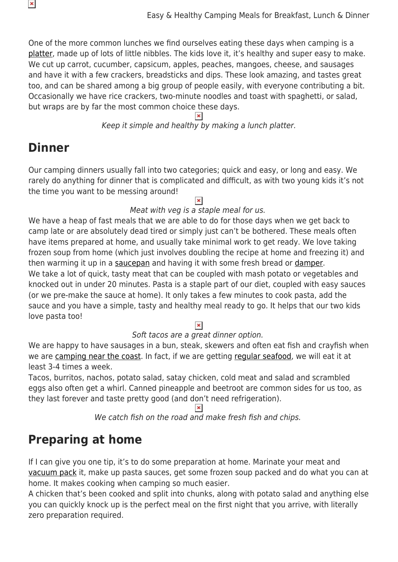One of the more common lunches we find ourselves eating these days when camping is a [platter,](https://www.snowys.com.au/nomad-cooking-kit) made up of lots of little nibbles. The kids love it, it's healthy and super easy to make. We cut up carrot, cucumber, capsicum, apples, peaches, mangoes, cheese, and sausages and have it with a few crackers, breadsticks and dips. These look amazing, and tastes great too, and can be shared among a big group of people easily, with everyone contributing a bit. Occasionally we have rice crackers, two-minute noodles and toast with spaghetti, or salad, but wraps are by far the most common choice these days.

Keep it simple and healthy by making a lunch platter.

## **Dinner**

×

Our camping dinners usually fall into two categories; quick and easy, or long and easy. We rarely do anything for dinner that is complicated and difficult, as with two young kids it's not the time you want to be messing around!

#### $\pmb{\times}$

#### Meat with veg is a staple meal for us.

We have a heap of fast meals that we are able to do for those days when we get back to camp late or are absolutely dead tired or simply just can't be bothered. These meals often have items prepared at home, and usually take minimal work to get ready. We love taking frozen soup from home (which just involves doubling the recipe at home and freezing it) and then warming it up in a [saucepan](https://www.snowys.com.au/compact-nonstick-saucepan) and having it with some fresh bread or [damper](https://www.snowys.com.au/blog/how-to-make-damper-in-a-camp-oven/). We take a lot of quick, tasty meat that can be coupled with mash potato or vegetables and knocked out in under 20 minutes. Pasta is a staple part of our diet, coupled with easy sauces (or we pre-make the sauce at home). It only takes a few minutes to cook pasta, add the sauce and you have a simple, tasty and healthy meal ready to go. It helps that our two kids love pasta too!

#### $\pmb{\times}$

#### Soft tacos are a great dinner option.

We are happy to have sausages in a bun, steak, skewers and often eat fish and crayfish when we are [camping near the coast.](https://www.snowys.com.au/blog/beach-camping-guide/) In fact, if we are getting [regular seafood,](https://www.snowys.com.au/blog/how-a-boat-can-transform-your-aussie-adventures/) we will eat it at least 3-4 times a week.

Tacos, burritos, nachos, potato salad, satay chicken, cold meat and salad and scrambled eggs also often get a whirl. Canned pineapple and beetroot are common sides for us too, as they last forever and taste pretty good (and don't need refrigeration).

We catch fish on the road and make fresh fish and chips.

## **Preparing at home**

If I can give you one tip, it's to do some preparation at home. Marinate your meat and [vacuum pack](https://www.snowys.com.au/dometic-12240v-vacuum-sealer) it, make up pasta sauces, get some frozen soup packed and do what you can at home. It makes cooking when camping so much easier.

A chicken that's been cooked and split into chunks, along with potato salad and anything else you can quickly knock up is the perfect meal on the first night that you arrive, with literally zero preparation required.